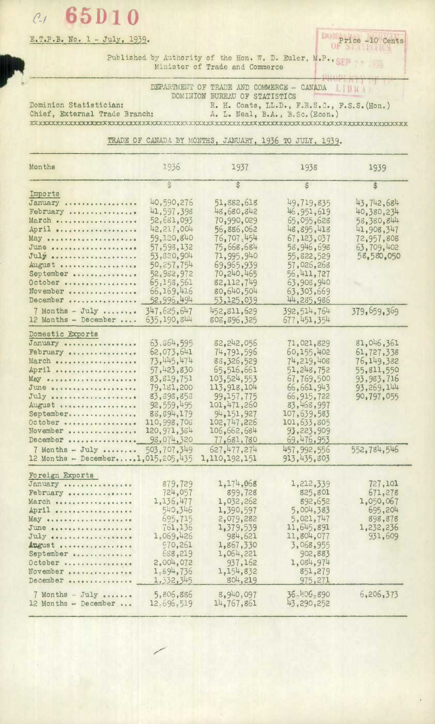## e, 65D10

E.T.P.B. No. 1 - July, 1939.

Price -10 Cents

Published by Authority of the Hon. W. D. Euler, M.P., Minister of Trade and Commerce

> DEPARTMENT OF TRADE AND COMMERCE - CANADA LIBRA DOMINION BUREAU OF STATISTICS

Dominion Statistician: Chief, External Trade Branch: R. H. Coats, LL.D., F.R.S.C., F.S.S. (Hon.)<br>A. L. Neal, B.A., B.Sc. (Econ.)

TRADE OF CANADA BY MONTHS, JANUARY, 1936 TO JULY, 1939.

| Months                                                                                                                                                                                                                                                            | 1936                                                                                                                                                                                          | 1937                                                                                                                                                                                                                | 1938                                                                                                                                                                                                       | 1939                                                                                                              |
|-------------------------------------------------------------------------------------------------------------------------------------------------------------------------------------------------------------------------------------------------------------------|-----------------------------------------------------------------------------------------------------------------------------------------------------------------------------------------------|---------------------------------------------------------------------------------------------------------------------------------------------------------------------------------------------------------------------|------------------------------------------------------------------------------------------------------------------------------------------------------------------------------------------------------------|-------------------------------------------------------------------------------------------------------------------|
|                                                                                                                                                                                                                                                                   | Ś                                                                                                                                                                                             | \$                                                                                                                                                                                                                  | \$                                                                                                                                                                                                         | \$                                                                                                                |
| Imports<br>January<br>February<br>March<br>April<br>May<br>June<br>$Jully$<br>August<br>September<br>October<br>November<br>December                                                                                                                              | 40,590,276<br>41,597,398<br>52,681,093<br>42, 217, 004<br>59,120,840<br>57,593,132<br>53,820,904<br>50.257,754<br>52,982,972<br>65, 158, 561<br>66, 169, 416<br>52,996,494                    | 51,882,618<br>48,680,842<br>70,990,029<br>56,886,062<br>76,707,454<br>75,668,684<br>71,995,940<br>69,965,939<br>70,240,465<br>82, 112, 749<br>80,640,504<br>53,125,039                                              | 49,719,835<br>46,951,619<br>65,055,628<br>48,895,418<br>67,123,037<br>58,946,698<br>55,822,529<br>57,026,268<br>56,411,727<br>63,908,940<br>63,303,669<br>44,285,986                                       | 43, 742, 684<br>40,380,234<br>58,380,844<br>41,908,347<br>72,957,808<br>63,709,402<br>58,580,050                  |
| 7 Months - July<br>12 Months - December                                                                                                                                                                                                                           | 347,625,647<br>635,190,844                                                                                                                                                                    | 452,811,629<br>808, 896, 325                                                                                                                                                                                        | 392, 514, 764<br>677, 451, 354                                                                                                                                                                             | 379,659,369                                                                                                       |
| Domestic Exports<br>January<br>February<br>March<br>April<br>May expressions interested<br>June economication<br>July assessessessessesses<br>August<br>September<br>October<br>November<br>December<br>$7$ Months - July<br>12 Months - December1, 015, 205, 435 | 63, 864, 595<br>62,073,641<br>73,445,474<br>57,423,830<br>83,819,751<br>79,181,200<br>83, 898, 858<br>92, 559, 495<br>88,894,179<br>110,998,705<br>120, 971, 384<br>98,074,320<br>503,707,349 | 82, 242, 056<br>74,791.596<br>83, 326, 529<br>65,516,661<br>103,524,553<br>113,918,104<br>99, 157, 775<br>101,471,260<br>94, 151, 927<br>102,747,226<br>106,662,684<br>77,681,780<br>627, 477, 274<br>1,110,192,151 | 71,021,829<br>60, 155, 402<br>74,219,408<br>51,248,752<br>67,769,500<br>66,661,943<br>66,915,722<br>83,468,997<br>107, 639, 583<br>101, 633, 805<br>93,223,909<br>69,476,953<br>457,992,556<br>913.435.803 | 81,046,361<br>61, 727, 338<br>76, 149, 382<br>55,811,550<br>93,983,716<br>93,269,144<br>90,797,055<br>552,784,546 |
| Foreign Exports<br>January<br>February<br>March<br>April<br>May<br>June<br>July<br>August<br>September<br>October<br>November<br>December                                                                                                                         | 879,729<br>724,057<br>1,136,477<br>540,346<br>695,715<br>761,136<br>1,069,426<br>970,261<br>688,219<br>2,004,072<br>1,894,736<br>1, 332, 345                                                  | 1,174,068<br>899,728<br>1,032,262<br>1,390,597<br>2,079,282<br>1,379,539<br>984,621<br>1,867,330<br>1,064,221<br>937,162<br>1, 154, 832<br>804,219                                                                  | 1,212,339<br>825,801<br>892,652<br>5,004,383<br>5,021,747<br>11,645,891<br>11,804,077<br>3,068,955<br>902,883<br>1,084,974<br>851,279<br>975,271                                                           | 727,101<br>671,278<br>1,050,067<br>695,204<br>898,878<br>1,232,236<br>931,609                                     |
| $7$ Months - July<br>12 Months - December                                                                                                                                                                                                                         | 5,806,886<br>12,696.519                                                                                                                                                                       | 8,940,097<br>14,767,861                                                                                                                                                                                             | 36. MOG, 890<br>43,290,252                                                                                                                                                                                 | 6,206,373                                                                                                         |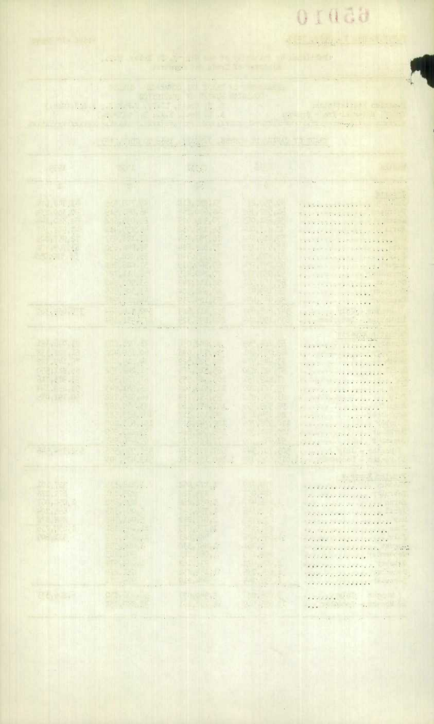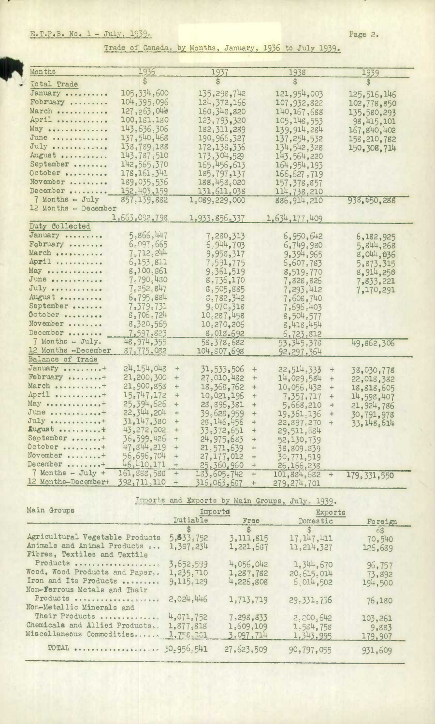Trade of Canada, by Months, January, 1936 to July 1939.

| Months                                 | 1936                           |           | 1937          |                   | 1938                            | 1939          |
|----------------------------------------|--------------------------------|-----------|---------------|-------------------|---------------------------------|---------------|
| Total Trade                            |                                |           |               |                   |                                 |               |
| January                                | 105,334.600                    |           | 135,298,742   |                   | 121,954,003                     | 125, 516, 146 |
| February                               | 104,395,096                    |           | 124, 372, 166 |                   | 107,932,822                     | 102,778,850   |
| March                                  | 127,263,04#                    |           | 160, 343, 820 |                   | 140, 167, 688                   | 135,580,293   |
| April                                  | 100,181,180                    |           | 123, 793, 320 |                   | 105, 148, 553                   | 98,415,101    |
| May                                    | 143, 636, 306                  |           | 182, 311, 289 |                   | 139.914,284                     | 167,840,402   |
| June                                   | 137,540,468                    |           | 190,966,327   |                   | 137, 254, 532                   | 158,210,782   |
| July                                   | 138,789,188                    |           | 172, 138, 336 |                   | 134,542,328                     | 150, 308, 714 |
| August                                 | 143,787,510                    |           | 173,304,529   |                   | 143,564,220                     |               |
| September                              | 142,565,370                    |           | 165,456,613   |                   | 164, 954, 193                   |               |
| October                                | 178, 161, 341                  |           | 185,797,137   |                   | 166,627,719                     |               |
| November                               | 189,035,536                    |           | 188,458,020   |                   | 157, 378, 857                   |               |
| December                               | 152.403.159                    |           | 131, 611, 038 |                   | 114,738,210                     |               |
| 7 Months - July                        | 857.139,882                    |           | 1,089,229,000 |                   | 886, 914, 210                   | 938, 650, 288 |
| 12 Months - December                   |                                |           |               |                   |                                 |               |
|                                        | 1,663,092,798                  |           | 1,933,856,337 |                   | 1, 634, 177, 409                |               |
| Duty Collected                         |                                |           |               |                   |                                 |               |
| January                                | 5,866,447                      |           | 7,280,313     |                   | 6,950,642                       | 6,182,925     |
| February                               | 6.097.665                      |           | 6.944,703     |                   | 6,749,980                       | 5,844,268     |
| March                                  | 7,712,244                      |           | 9,958,317     |                   | 9,394,965                       | 8,044,036     |
| April                                  | 6,153,811                      |           | 7,591,775     |                   | 6,607,783                       | 5,873,315     |
| May                                    | 8,100.861                      |           | 9,361,519     |                   | 8,519.770                       | 8,914,256     |
| June                                   | 7.790.430                      |           | 8,736,170     |                   | 7,828,826                       | 7,833,221     |
| $July \ \dots \ \dots \ \dots \ \dots$ | 7,252,847                      |           | 3,505,885     |                   | 7,293,412                       | 7,170,291     |
| August                                 | 6,795,884                      |           | 8,782,342     |                   | 7,608,740                       |               |
| September                              | 7,379,731                      |           | 9,070,318     |                   | 7,696,403                       |               |
| October                                | 8,706,724                      |           | 10,287,458    |                   | 8,504,577                       |               |
| November                               | 8,320,565                      |           | 10,270,206    |                   | 8,418,454                       |               |
| December                               | 7,597,823                      |           | 8,018,692     |                   | 6,723,812                       |               |
| 7 Months - July.                       | 48,974,355                     |           | 58, 378, 682  |                   | 53, 345, 378                    | 49,862,306    |
| 12 Months -December                    | 87,775,082                     |           | 104,807,698   |                   | 92,297,364                      |               |
| Balance of Trade                       |                                |           |               |                   |                                 |               |
| January +                              | 24, 154, 048<br>$\div$         |           | 31, 533, 506  | $+$               | 22,514.333<br>$\div$            | 38,030,778    |
| February +                             | 21,200.300<br>$\div$           |           | 27,010,482    | $\boldsymbol{+}$  | 14,029,584<br>$\div$            | 22,018,382    |
| March +                                | $21,900,853 +$                 |           | 18,368,762    | $+$               | 10,056,432<br>$\,+\,$           | 18,818,605    |
| April +                                | 15,747,172<br>$+$              |           | 10,021,196    | $\div$            | 7,357,717<br>÷                  | 14,598,407    |
| May $$                                 | 25,394,626<br>$\div$           |           | 28,896,381    | $^{+}$            | 5,668,210<br>$\div$             | 21, 924, 786  |
| $June \dots \dots \dots \dots$         | 22, 344, 204                   | $\div$    | 39,628,959    | $\qquad \qquad +$ | 19,361.136<br>$+$               | 30,791,978    |
| $July \dots$                           | 31, 147, 380                   | $\ddot{}$ | 28,146,456    | $\ddot{}$         | 22,897.270<br>$\qquad \qquad +$ | 33, 148, 614  |
| Lugust t                               | 43,272,002<br>$\div$           |           | 33, 372, 651  | $\div$            | 29,511, .84                     |               |
| September +                            | 36,599,426<br>$\boldsymbol{+}$ |           | 24,975,683    | $\div$            | 52,130,739                      |               |
| October +                              | 47,844,219<br>$^{+}$           |           | 21.571,639    | $^{+}$            | 38,809.839                      |               |
| November +                             | 56,696,704<br>$^{+}$           |           | 27, 177, 012  | $\div$            | 30,771,519                      |               |
| December +                             | 46,410,171                     |           | 25,360,960    | $^{+}$            | 26, 166, 238                    |               |
| $7$ Months - $July +$                  | 161,888,588<br>$^{+}$          |           | 133,605.742   | $+$               | 101,884,682<br>÷                | 179, 331, 550 |
| 12 Months-December+                    | 392,711,110                    |           | 316,063,687   | $+$               | 279, 274, 701                   |               |

Imports and Exports by Main Groups, July, 1939.

| Main Groups                     | Importa     |            | Exports      |         |  |
|---------------------------------|-------------|------------|--------------|---------|--|
|                                 | Dutiable    | Free       | Domestic     | Foreign |  |
|                                 |             | \$         |              | 63      |  |
| Agricultural Vegetable Products | 5,833.752   | 3,111,815  | 17, 147, 411 | 70,540  |  |
| Animals and Animal Products     | 1,387,234   | 1,221,687  | 11, 214, 327 | 126,689 |  |
| Fibres, Textiles and Textile    |             |            |              |         |  |
| Products                        | 3,652,593   | 4.056.042  | 1.344.670    | 96,757  |  |
| Wood, Wood Products and Paper   | 1,235,710   | 1,287,782  | 20, 615.014  | 73,892  |  |
| Iron and Its Products           | 9, 115, 129 | 4,226,808  | 6,014,502    | 194,500 |  |
| Non-Ferrous Metals and Their    |             |            |              |         |  |
| Products                        | 2,024,446   | 1,713,719  | 29.331,736   | 76,180  |  |
| Non-Metallic Minerals and       |             |            |              |         |  |
| Their Products                  | 4,071,752   | 7,298,833  | 2,200,642    | 103,261 |  |
| Chemicals and Allied Products.  | 1,877.818   | 1,609,109  | 1.584,758    | 9,883   |  |
| Miscellaneous Commodities       | 1,758,301   | 3,097,714  | 1, 343, 995  | 179,907 |  |
|                                 |             |            |              |         |  |
| TOTAL                           | 30.956.541  | 27,623,509 | 90,797,055   | 931,609 |  |